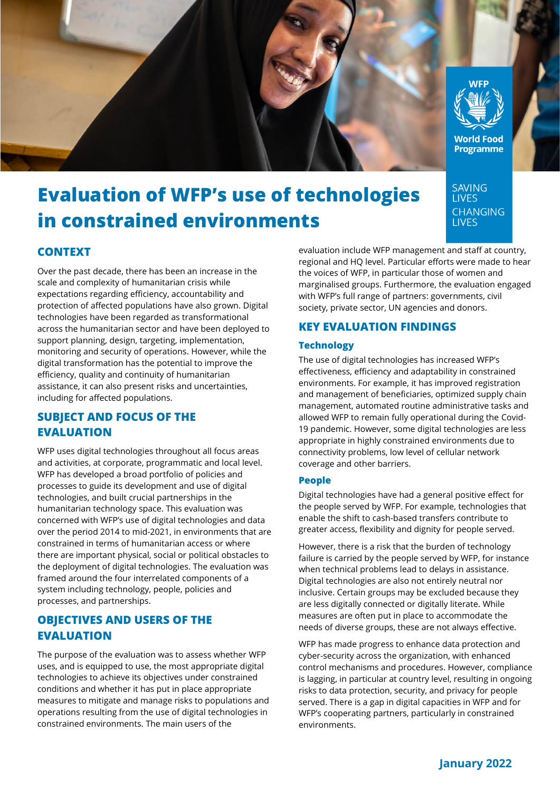

# **Evaluation of WFP's use of technologies in constrained environments**

# **CONTEXT**

Over the past decade, there has been an increase in the scale and complexity of humanitarian crisis while expectations regarding efficiency, accountability and protection of affected populations have also grown. Digital technologies have been regarded as transformational across the humanitarian sector and have been deployed to support planning, design, targeting, implementation, monitoring and security of operations. However, while the digital transformation has the potential to improve the efficiency, quality and continuity of humanitarian assistance, it can also present risks and uncertainties, including for affected populations.

# **SUBJECT AND FOCUS OF THE EVALUATION**

WFP uses digital technologies throughout all focus areas and activities, at corporate, programmatic and local level. WFP has developed a broad portfolio of policies and processes to guide its development and use of digital technologies, and built crucial partnerships in the humanitarian technology space. This evaluation was concerned with WFP's use of digital technologies and data over the period 2014 to mid-2021, in environments that are constrained in terms of humanitarian access or where there are important physical, social or political obstacles to the deployment of digital technologies. The evaluation was framed around the four interrelated components of a system including technology, people, policies and processes, and partnerships.

## **OBJECTIVES AND USERS OF THE EVALUATION**

The purpose of the evaluation was to assess whether WFP uses, and is equipped to use, the most appropriate digital technologies to achieve its objectives under constrained conditions and whether it has put in place appropriate measures to mitigate and manage risks to populations and operations resulting from the use of digital technologies in constrained environments. The main users of the

evaluation include WFP management and staff at country, regional and HQ level. Particular efforts were made to hear the voices of WFP, in particular those of women and marginalised groups. Furthermore, the evaluation engaged with WFP's full range of partners: governments, civil society, private sector, UN agencies and donors.

**SAVING LIVES** 

**CHANGING LIVES** 

# **KEY EVALUATION FINDINGS**

## **Technology**

The use of digital technologies has increased WFP's effectiveness, efficiency and adaptability in constrained environments. For example, it has improved registration and management of beneficiaries, optimized supply chain management, automated routine administrative tasks and allowed WFP to remain fully operational during the Covid-19 pandemic. However, some digital technologies are less appropriate in highly constrained environments due to connectivity problems, low level of cellular network coverage and other barriers.

## **People**

Digital technologies have had a general positive effect for the people served by WFP. For example, technologies that enable the shift to cash-based transfers contribute to greater access, flexibility and dignity for people served.

However, there is a risk that the burden of technology failure is carried by the people served by WFP, for instance when technical problems lead to delays in assistance. Digital technologies are also not entirely neutral nor inclusive. Certain groups may be excluded because they are less digitally connected or digitally literate. While measures are often put in place to accommodate the needs of diverse groups, these are not always effective.

WFP has made progress to enhance data protection and cyber-security across the organization, with enhanced control mechanisms and procedures. However, compliance is lagging, in particular at country level, resulting in ongoing risks to data protection, security, and privacy for people served. There is a gap in digital capacities in WFP and for WFP's cooperating partners, particularly in constrained environments.